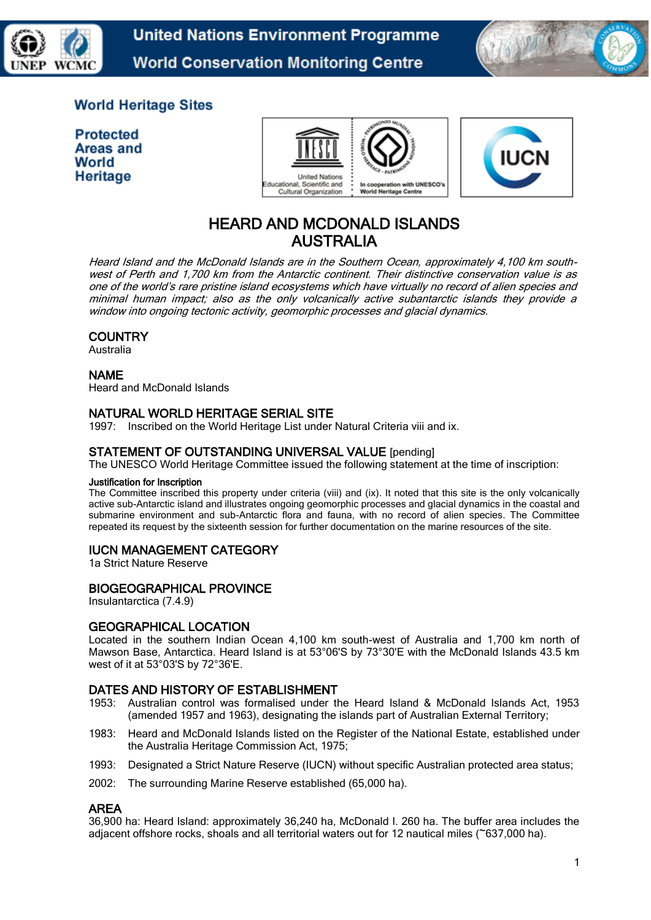

**United Nations Environment Programme World Conservation Monitoring Centre** 



## **World Heritage Sites**

**Protected** Areas and World Heritage



# HEARD AND MCDONALD ISLANDS AUSTRALIA

Heard Island and the McDonald Islands are in the Southern Ocean, approximately 4,100 km southwest of Perth and 1,700 km from the Antarctic continent. Their distinctive conservation value is as one of the world's rare pristine island ecosystems which have virtually no record of alien species and minimal human impact; also as the only volcanically active subantarctic islands they provide a window into ongoing tectonic activity, geomorphic processes and glacial dynamics.

## **COUNTRY**

Australia

## NAME

Heard and McDonald Islands

## NATURAL WORLD HERITAGE SERIAL SITE

1997: Inscribed on the World Heritage List under Natural Criteria viii and ix.

## STATEMENT OF OUTSTANDING UNIVERSAL VALUE [pending]

The UNESCO World Heritage Committee issued the following statement at the time of inscription:

#### Justification for Inscription

The Committee inscribed this property under criteria (viii) and (ix). It noted that this site is the only volcanically active sub-Antarctic island and illustrates ongoing geomorphic processes and glacial dynamics in the coastal and submarine environment and sub-Antarctic flora and fauna, with no record of alien species. The Committee repeated its request by the sixteenth session for further documentation on the marine resources of the site.

## IUCN MANAGEMENT CATEGORY

1a Strict Nature Reserve

#### BIOGEOGRAPHICAL PROVINCE

Insulantarctica (7.4.9)

#### GEOGRAPHICAL LOCATION

Located in the southern Indian Ocean 4,100 km south-west of Australia and 1,700 km north of Mawson Base, Antarctica. Heard Island is at 53°06'S by 73°30'E with the McDonald Islands 43.5 km west of it at 53°03'S by 72°36'E.

#### DATES AND HISTORY OF ESTABLISHMENT

- 1953: Australian control was formalised under the Heard Island & McDonald Islands Act, 1953 (amended 1957 and 1963), designating the islands part of Australian External Territory;
- 1983: Heard and McDonald Islands listed on the Register of the National Estate, established under the Australia Heritage Commission Act, 1975;
- 1993: Designated a Strict Nature Reserve (IUCN) without specific Australian protected area status;
- 2002: The surrounding Marine Reserve established (65,000 ha).

#### AREA

36,900 ha: Heard Island: approximately 36,240 ha, McDonald I. 260 ha. The buffer area includes the adjacent offshore rocks, shoals and all territorial waters out for 12 nautical miles (~637,000 ha).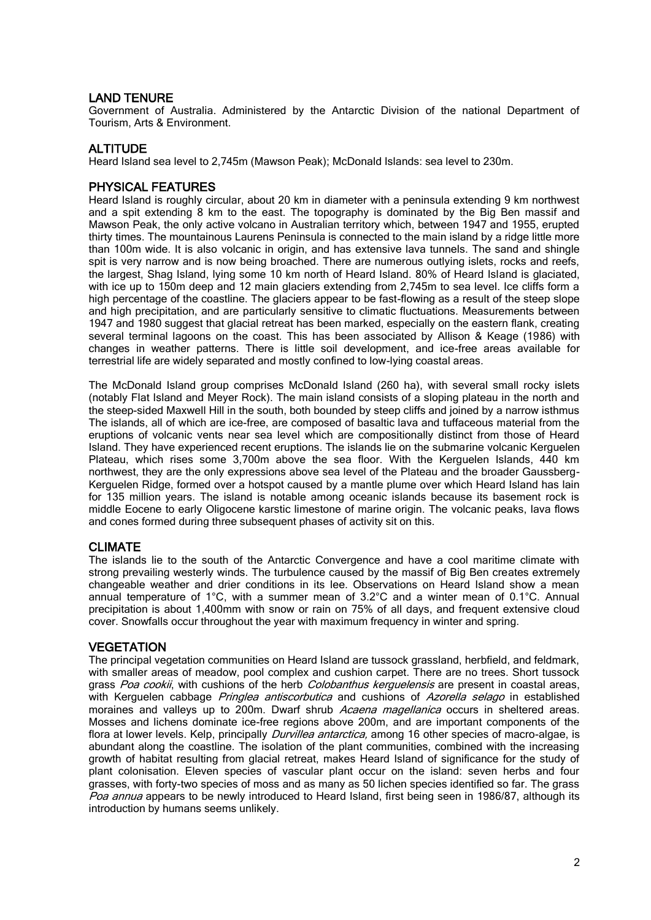## LAND TENURE

Government of Australia. Administered by the Antarctic Division of the national Department of Tourism, Arts & Environment.

## **ALTITUDE**

Heard Island sea level to 2,745m (Mawson Peak); McDonald Islands: sea level to 230m.

#### PHYSICAL FEATURES

Heard Island is roughly circular, about 20 km in diameter with a peninsula extending 9 km northwest and a spit extending 8 km to the east. The topography is dominated by the Big Ben massif and Mawson Peak, the only active volcano in Australian territory which, between 1947 and 1955, erupted thirty times. The mountainous Laurens Peninsula is connected to the main island by a ridge little more than 100m wide. It is also volcanic in origin, and has extensive lava tunnels. The sand and shingle spit is very narrow and is now being broached. There are numerous outlying islets, rocks and reefs, the largest, Shag Island, lying some 10 km north of Heard Island. 80% of Heard Island is glaciated, with ice up to 150m deep and 12 main glaciers extending from 2,745m to sea level. Ice cliffs form a high percentage of the coastline. The glaciers appear to be fast-flowing as a result of the steep slope and high precipitation, and are particularly sensitive to climatic fluctuations. Measurements between 1947 and 1980 suggest that glacial retreat has been marked, especially on the eastern flank, creating several terminal lagoons on the coast. This has been associated by Allison & Keage (1986) with changes in weather patterns. There is little soil development, and ice-free areas available for terrestrial life are widely separated and mostly confined to low-lying coastal areas.

The McDonald Island group comprises McDonald Island (260 ha), with several small rocky islets (notably Flat Island and Meyer Rock). The main island consists of a sloping plateau in the north and the steep-sided Maxwell Hill in the south, both bounded by steep cliffs and joined by a narrow isthmus The islands, all of which are ice-free, are composed of basaltic lava and tuffaceous material from the eruptions of volcanic vents near sea level which are compositionally distinct from those of Heard Island. They have experienced recent eruptions. The islands lie on the submarine volcanic Kerguelen Plateau, which rises some 3,700m above the sea floor. With the Kerguelen Islands, 440 km northwest, they are the only expressions above sea level of the Plateau and the broader Gaussberg-Kerguelen Ridge, formed over a hotspot caused by a mantle plume over which Heard Island has lain for 135 million years. The island is notable among oceanic islands because its basement rock is middle Eocene to early Oligocene karstic limestone of marine origin. The volcanic peaks, lava flows and cones formed during three subsequent phases of activity sit on this.

#### CLIMATE

The islands lie to the south of the Antarctic Convergence and have a cool maritime climate with strong prevailing westerly winds. The turbulence caused by the massif of Big Ben creates extremely changeable weather and drier conditions in its lee. Observations on Heard Island show a mean annual temperature of 1°C, with a summer mean of 3.2°C and a winter mean of 0.1°C. Annual precipitation is about 1,400mm with snow or rain on 75% of all days, and frequent extensive cloud cover. Snowfalls occur throughout the year with maximum frequency in winter and spring.

#### **VEGETATION**

The principal vegetation communities on Heard Island are tussock grassland, herbfield, and feldmark, with smaller areas of meadow, pool complex and cushion carpet. There are no trees. Short tussock grass Poa cookii, with cushions of the herb Colobanthus kerguelensis are present in coastal areas, with Kerguelen cabbage Pringlea antiscorbutica and cushions of Azorella selago in established moraines and valleys up to 200m. Dwarf shrub Acaena magellanica occurs in sheltered areas. Mosses and lichens dominate ice-free regions above 200m, and are important components of the flora at lower levels. Kelp, principally *Durvillea antarctica*, among 16 other species of macro-algae, is abundant along the coastline. The isolation of the plant communities, combined with the increasing growth of habitat resulting from glacial retreat, makes Heard Island of significance for the study of plant colonisation. Eleven species of vascular plant occur on the island: seven herbs and four grasses, with forty-two species of moss and as many as 50 lichen species identified so far. The grass Poa annua appears to be newly introduced to Heard Island, first being seen in 1986/87, although its introduction by humans seems unlikely.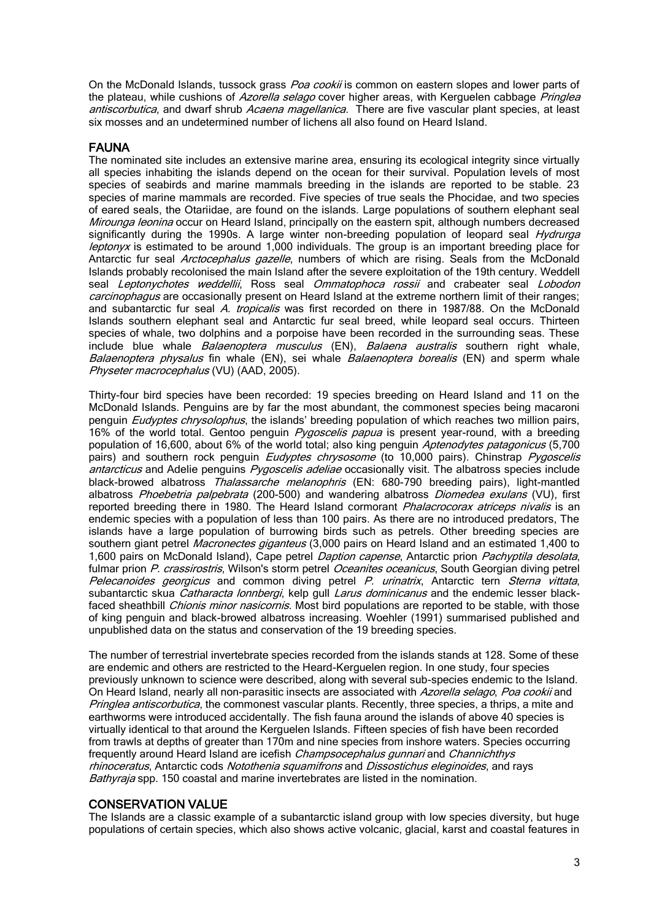On the McDonald Islands, tussock grass *Poa cookii* is common on eastern slopes and lower parts of the plateau, while cushions of Azorella selago cover higher areas, with Kerguelen cabbage Pringlea antiscorbutica, and dwarf shrub Acaena magellanica. There are five vascular plant species, at least six mosses and an undetermined number of lichens all also found on Heard Island.

## FAUNA

The nominated site includes an extensive marine area, ensuring its ecological integrity since virtually all species inhabiting the islands depend on the ocean for their survival. Population levels of most species of seabirds and marine mammals breeding in the islands are reported to be stable. 23 species of marine mammals are recorded. Five species of true seals the Phocidae, and two species of eared seals, the Otariidae, are found on the islands. Large populations of southern elephant seal Mirounga leonina occur on Heard Island, principally on the eastern spit, although numbers decreased significantly during the 1990s. A large winter non-breeding population of leopard seal Hydrurga leptonyx is estimated to be around 1,000 individuals. The group is an important breeding place for Antarctic fur seal Arctocephalus gazelle, numbers of which are rising. Seals from the McDonald Islands probably recolonised the main Island after the severe exploitation of the 19th century. Weddell seal Leptonychotes weddellii, Ross seal Ommatophoca rossii and crabeater seal Lobodon carcinophagus are occasionally present on Heard Island at the extreme northern limit of their ranges; and subantarctic fur seal A. tropicalis was first recorded on there in 1987/88. On the McDonald Islands southern elephant seal and Antarctic fur seal breed, while leopard seal occurs. Thirteen species of whale, two dolphins and a porpoise have been recorded in the surrounding seas. These include blue whale *Balaenoptera musculus* (EN), *Balaena australis* southern right whale, Balaenoptera physalus fin whale (EN), sei whale Balaenoptera borealis (EN) and sperm whale Physeter macrocephalus (VU) (AAD, 2005).

Thirty-four bird species have been recorded: 19 species breeding on Heard Island and 11 on the McDonald Islands. Penguins are by far the most abundant, the commonest species being macaroni penguin Eudyptes chrysolophus, the islands' breeding population of which reaches two million pairs, 16% of the world total. Gentoo penguin Pygoscelis papua is present year-round, with a breeding population of 16,600, about 6% of the world total; also king penguin Aptenodytes patagonicus (5,700 pairs) and southern rock penguin *Eudyptes chrysosome* (to 10,000 pairs). Chinstrap *Pygoscelis* antarcticus and Adelie penguins Pygoscelis adeliae occasionally visit. The albatross species include black-browed albatross Thalassarche melanophris (EN: 680-790 breeding pairs), light-mantled albatross Phoebetria palpebrata (200-500) and wandering albatross Diomedea exulans (VU), first reported breeding there in 1980. The Heard Island cormorant *Phalacrocorax atriceps nivalis* is an endemic species with a population of less than 100 pairs. As there are no introduced predators, The islands have a large population of burrowing birds such as petrels. Other breeding species are southern giant petrel Macronectes giganteus (3,000 pairs on Heard Island and an estimated 1,400 to 1,600 pairs on McDonald Island), Cape petrel *Daption capense*, Antarctic prion *Pachyptila desolata*, fulmar prion P. crassirostris, Wilson's storm petrel Oceanites oceanicus, South Georgian diving petrel Pelecanoides georgicus and common diving petrel P. urinatrix, Antarctic tern Sterna vittata, subantarctic skua Catharacta lonnbergi, kelp gull Larus dominicanus and the endemic lesser blackfaced sheathbill *Chionis minor nasicornis*. Most bird populations are reported to be stable, with those of king penguin and black-browed albatross increasing. Woehler (1991) summarised published and unpublished data on the status and conservation of the 19 breeding species.

The number of terrestrial invertebrate species recorded from the islands stands at 128. Some of these are endemic and others are restricted to the Heard-Kerguelen region. In one study, four species previously unknown to science were described, along with several sub-species endemic to the Island. On Heard Island, nearly all non-parasitic insects are associated with Azorella selago, Poa cookii and Pringlea antiscorbutica, the commonest vascular plants. Recently, three species, a thrips, a mite and earthworms were introduced accidentally. The fish fauna around the islands of above 40 species is virtually identical to that around the Kerguelen Islands. Fifteen species of fish have been recorded from trawls at depths of greater than 170m and nine species from inshore waters. Species occurring frequently around Heard Island are icefish *Champsocephalus gunnari* and *Channichthys* rhinoceratus, Antarctic cods Notothenia squamifrons and Dissostichus eleginoides, and rays Bathyraja spp. 150 coastal and marine invertebrates are listed in the nomination.

#### CONSERVATION VALUE

The Islands are a classic example of a subantarctic island group with low species diversity, but huge populations of certain species, which also shows active volcanic, glacial, karst and coastal features in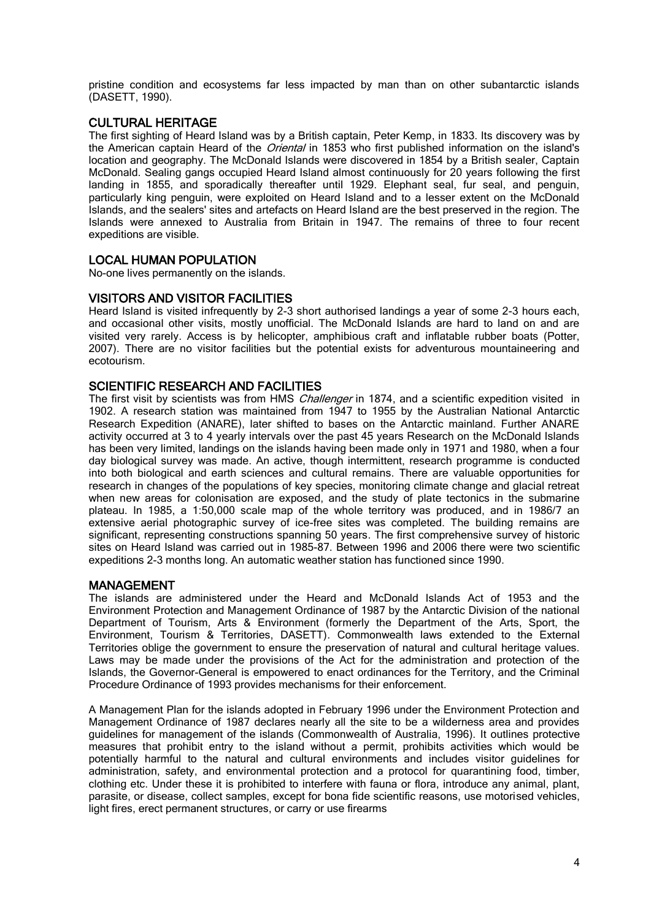pristine condition and ecosystems far less impacted by man than on other subantarctic islands (DASETT, 1990).

## CULTURAL HERITAGE

The first sighting of Heard Island was by a British captain, Peter Kemp, in 1833. Its discovery was by the American captain Heard of the *Oriental* in 1853 who first published information on the island's location and geography. The McDonald Islands were discovered in 1854 by a British sealer, Captain McDonald. Sealing gangs occupied Heard Island almost continuously for 20 years following the first landing in 1855, and sporadically thereafter until 1929. Elephant seal, fur seal, and penguin, particularly king penguin, were exploited on Heard Island and to a lesser extent on the McDonald Islands, and the sealers' sites and artefacts on Heard Island are the best preserved in the region. The Islands were annexed to Australia from Britain in 1947. The remains of three to four recent expeditions are visible.

## LOCAL HUMAN POPULATION

No-one lives permanently on the islands.

## VISITORS AND VISITOR FACILITIES

Heard Island is visited infrequently by 2-3 short authorised landings a year of some 2-3 hours each, and occasional other visits, mostly unofficial. The McDonald Islands are hard to land on and are visited very rarely. Access is by helicopter, amphibious craft and inflatable rubber boats (Potter, 2007). There are no visitor facilities but the potential exists for adventurous mountaineering and ecotourism.

#### SCIENTIFIC RESEARCH AND FACILITIES

The first visit by scientists was from HMS *Challenger* in 1874, and a scientific expedition visited in 1902. A research station was maintained from 1947 to 1955 by the Australian National Antarctic Research Expedition (ANARE), later shifted to bases on the Antarctic mainland. Further ANARE activity occurred at 3 to 4 yearly intervals over the past 45 years Research on the McDonald Islands has been very limited, landings on the islands having been made only in 1971 and 1980, when a four day biological survey was made. An active, though intermittent, research programme is conducted into both biological and earth sciences and cultural remains. There are valuable opportunities for research in changes of the populations of key species, monitoring climate change and glacial retreat when new areas for colonisation are exposed, and the study of plate tectonics in the submarine plateau. In 1985, a 1:50,000 scale map of the whole territory was produced, and in 1986/7 an extensive aerial photographic survey of ice-free sites was completed. The building remains are significant, representing constructions spanning 50 years. The first comprehensive survey of historic sites on Heard Island was carried out in 1985-87. Between 1996 and 2006 there were two scientific expeditions 2-3 months long. An automatic weather station has functioned since 1990.

#### **MANAGEMENT**

The islands are administered under the Heard and McDonald Islands Act of 1953 and the Environment Protection and Management Ordinance of 1987 by the Antarctic Division of the national Department of Tourism, Arts & Environment (formerly the Department of the Arts, Sport, the Environment, Tourism & Territories, DASETT). Commonwealth laws extended to the External Territories oblige the government to ensure the preservation of natural and cultural heritage values. Laws may be made under the provisions of the Act for the administration and protection of the Islands, the Governor-General is empowered to enact ordinances for the Territory, and the Criminal Procedure Ordinance of 1993 provides mechanisms for their enforcement.

A Management Plan for the islands adopted in February 1996 under the Environment Protection and Management Ordinance of 1987 declares nearly all the site to be a wilderness area and provides guidelines for management of the islands (Commonwealth of Australia, 1996). It outlines protective measures that prohibit entry to the island without a permit, prohibits activities which would be potentially harmful to the natural and cultural environments and includes visitor guidelines for administration, safety, and environmental protection and a protocol for quarantining food, timber, clothing etc. Under these it is prohibited to interfere with fauna or flora, introduce any animal, plant, parasite, or disease, collect samples, except for bona fide scientific reasons, use motorised vehicles, light fires, erect permanent structures, or carry or use firearms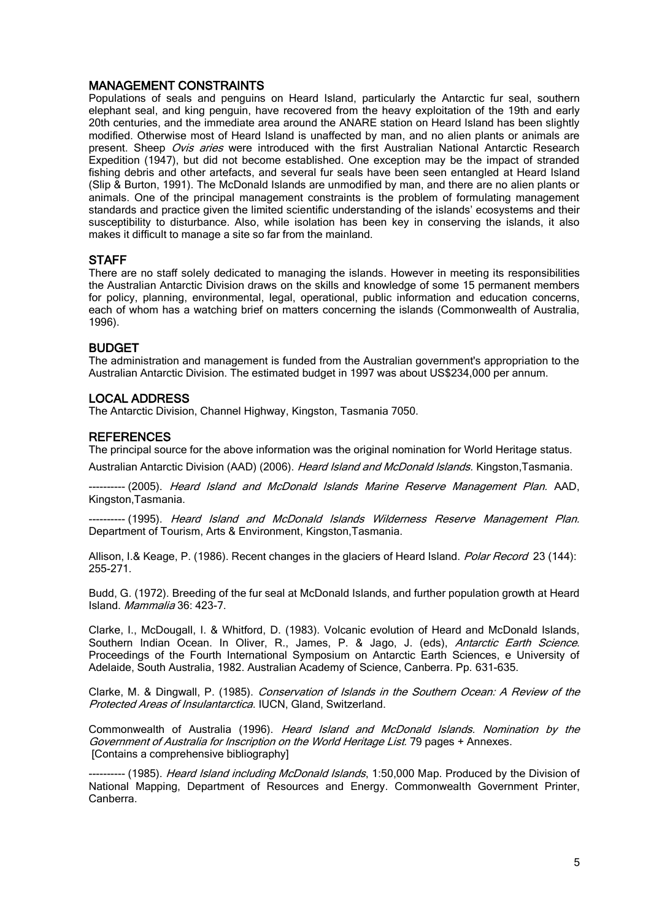## MANAGEMENT CONSTRAINTS

Populations of seals and penguins on Heard Island, particularly the Antarctic fur seal, southern elephant seal, and king penguin, have recovered from the heavy exploitation of the 19th and early 20th centuries, and the immediate area around the ANARE station on Heard Island has been slightly modified. Otherwise most of Heard Island is unaffected by man, and no alien plants or animals are present. Sheep Ovis aries were introduced with the first Australian National Antarctic Research Expedition (1947), but did not become established. One exception may be the impact of stranded fishing debris and other artefacts, and several fur seals have been seen entangled at Heard Island (Slip & Burton, 1991). The McDonald Islands are unmodified by man, and there are no alien plants or animals. One of the principal management constraints is the problem of formulating management standards and practice given the limited scientific understanding of the islands' ecosystems and their susceptibility to disturbance. Also, while isolation has been key in conserving the islands, it also makes it difficult to manage a site so far from the mainland.

## **STAFF**

There are no staff solely dedicated to managing the islands. However in meeting its responsibilities the Australian Antarctic Division draws on the skills and knowledge of some 15 permanent members for policy, planning, environmental, legal, operational, public information and education concerns, each of whom has a watching brief on matters concerning the islands (Commonwealth of Australia, 1996).

#### BUDGET

The administration and management is funded from the Australian government's appropriation to the Australian Antarctic Division. The estimated budget in 1997 was about US\$234,000 per annum.

## LOCAL ADDRESS

The Antarctic Division, Channel Highway, Kingston, Tasmania 7050.

#### **REFERENCES**

The principal source for the above information was the original nomination for World Heritage status.

Australian Antarctic Division (AAD) (2006). Heard Island and McDonald Islands. Kingston, Tasmania.

-- (2005). Heard Island and McDonald Islands Marine Reserve Management Plan. AAD, Kingston,Tasmania.

----- (1995). Heard Island and McDonald Islands Wilderness Reserve Management Plan. Department of Tourism, Arts & Environment, Kingston,Tasmania.

Allison, I.& Keage, P. (1986). Recent changes in the glaciers of Heard Island. *Polar Record* 23 (144): 255-271.

Budd, G. (1972). Breeding of the fur seal at McDonald Islands, and further population growth at Heard Island. Mammalia 36: 423-7.

Clarke, I., McDougall, I. & Whitford, D. (1983). Volcanic evolution of Heard and McDonald Islands, Southern Indian Ocean. In Oliver, R., James, P. & Jago, J. (eds), Antarctic Earth Science. Proceedings of the Fourth International Symposium on Antarctic Earth Sciences, e University of Adelaide, South Australia, 1982. Australian Academy of Science, Canberra. Pp. 631-635.

Clarke, M. & Dingwall, P. (1985). Conservation of Islands in the Southern Ocean: A Review of the Protected Areas of Insulantarctica. IUCN, Gland, Switzerland.

Commonwealth of Australia (1996). Heard Island and McDonald Islands. Nomination by the Government of Australia for Inscription on the World Heritage List. 79 pages + Annexes. [Contains a comprehensive bibliography]

-- (1985). *Heard Island including McDonald Islands*, 1:50,000 Map. Produced by the Division of National Mapping, Department of Resources and Energy. Commonwealth Government Printer, Canberra.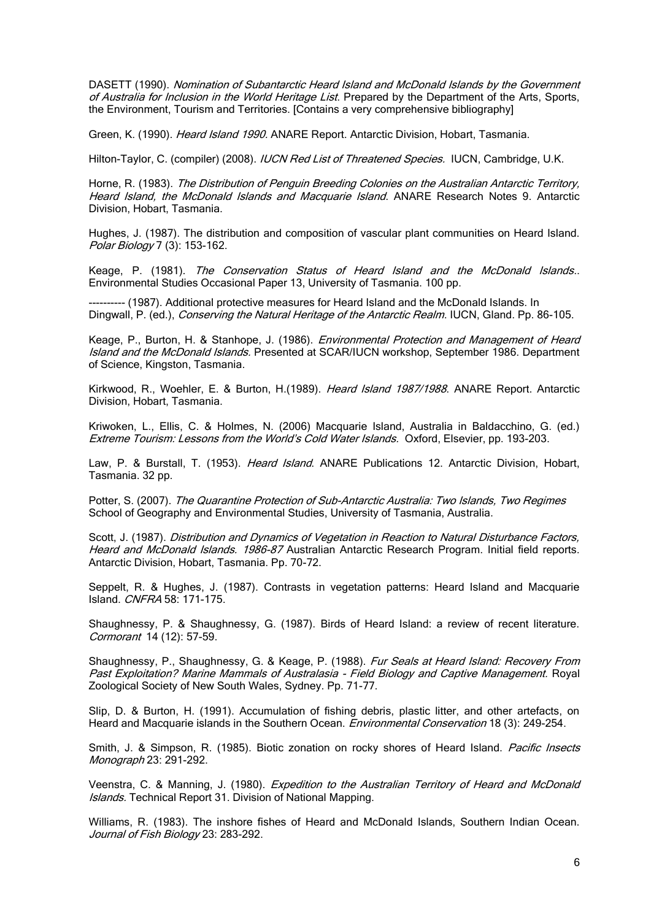DASETT (1990). Nomination of Subantarctic Heard Island and McDonald Islands by the Government of Australia for Inclusion in the World Heritage List. Prepared by the Department of the Arts. Sports, the Environment, Tourism and Territories. [Contains a very comprehensive bibliography]

Green, K. (1990). *Heard Island 1990.* ANARE Report. Antarctic Division, Hobart, Tasmania.

Hilton-Taylor, C. (compiler) (2008). *IUCN Red List of Threatened Species.* IUCN, Cambridge, U.K.

Horne, R. (1983). The Distribution of Penguin Breeding Colonies on the Australian Antarctic Territory, Heard Island, the McDonald Islands and Macquarie Island. ANARE Research Notes 9. Antarctic Division, Hobart, Tasmania.

Hughes, J. (1987). The distribution and composition of vascular plant communities on Heard Island. Polar Biology 7 (3): 153-162.

Keage, P. (1981). The Conservation Status of Heard Island and the McDonald Islands.. Environmental Studies Occasional Paper 13, University of Tasmania. 100 pp.

---------- (1987). Additional protective measures for Heard Island and the McDonald Islands. In Dingwall, P. (ed.), Conserving the Natural Heritage of the Antarctic Realm. IUCN, Gland. Pp. 86-105.

Keage, P., Burton, H. & Stanhope, J. (1986). Environmental Protection and Management of Heard Island and the McDonald Islands. Presented at SCAR/IUCN workshop, September 1986. Department of Science, Kingston, Tasmania.

Kirkwood, R., Woehler, E. & Burton, H.(1989). Heard Island 1987/1988. ANARE Report. Antarctic Division, Hobart, Tasmania.

Kriwoken, L., Ellis, C. & Holmes, N. (2006) Macquarie Island, Australia in Baldacchino, G. (ed.) Extreme Tourism: Lessons from the World's Cold Water Islands. Oxford, Elsevier, pp. 193-203.

Law, P. & Burstall, T. (1953). *Heard Island*. ANARE Publications 12. Antarctic Division, Hobart, Tasmania. 32 pp.

Potter, S. (2007). The Quarantine Protection of Sub-Antarctic Australia: Two Islands, Two Regimes School of Geography and Environmental Studies, University of Tasmania, Australia.

Scott, J. (1987). Distribution and Dynamics of Vegetation in Reaction to Natural Disturbance Factors, Heard and McDonald Islands. 1986-87 Australian Antarctic Research Program. Initial field reports. Antarctic Division, Hobart, Tasmania. Pp. 70-72.

Seppelt, R. & Hughes, J. (1987). Contrasts in vegetation patterns: Heard Island and Macquarie Island. CNFRA 58: 171-175.

Shaughnessy, P. & Shaughnessy, G. (1987). Birds of Heard Island: a review of recent literature. Cormorant 14 (12): 57-59.

Shaughnessy, P., Shaughnessy, G. & Keage, P. (1988). Fur Seals at Heard Island: Recovery From Past Exploitation? Marine Mammals of Australasia - Field Biology and Captive Management. Royal Zoological Society of New South Wales, Sydney. Pp. 71-77.

Slip, D. & Burton, H. (1991). Accumulation of fishing debris, plastic litter, and other artefacts, on Heard and Macquarie islands in the Southern Ocean. *Environmental Conservation* 18 (3): 249-254.

Smith, J. & Simpson, R. (1985). Biotic zonation on rocky shores of Heard Island. Pacific Insects Monograph 23: 291-292.

Veenstra, C. & Manning, J. (1980). Expedition to the Australian Territory of Heard and McDonald Islands. Technical Report 31. Division of National Mapping.

Williams, R. (1983). The inshore fishes of Heard and McDonald Islands, Southern Indian Ocean. Journal of Fish Biology 23: 283-292.